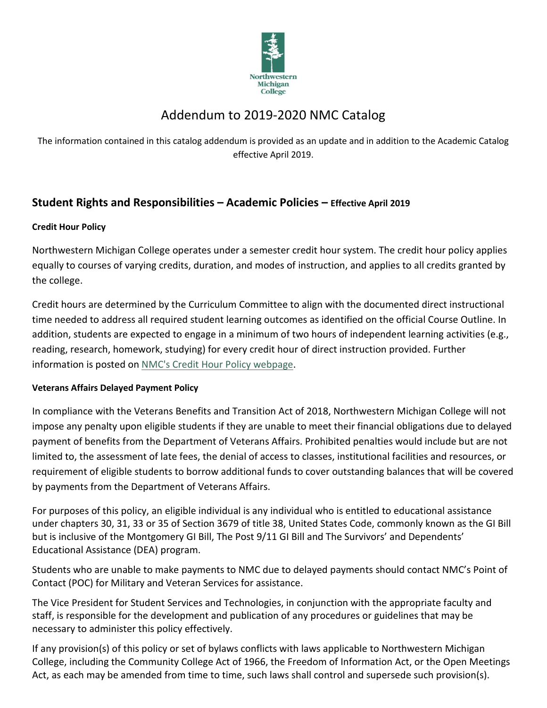

# Addendum to 2019-2020 NMC Catalog

The information contained in this catalog addendum is provided as an update and in addition to the Academic Catalog effective April 2019.

# **Student Rights and Responsibilities – Academic Policies – Effective April 2019**

# **Credit Hour Policy**

Northwestern Michigan College operates under a semester credit hour system. The credit hour policy applies equally to courses of varying credits, duration, and modes of instruction, and applies to all credits granted by the college.

Credit hours are determined by the Curriculum Committee to align with the documented direct instructional time needed to address all required student learning outcomes as identified on the official Course Outline. In addition, students are expected to engage in a minimum of two hours of independent learning activities (e.g., reading, research, homework, studying) for every credit hour of direct instruction provided. Further information is posted on [NMC's Credit Hour Policy webpage.](https://www.nmc.edu/about/policies/board-staff/D-104.06.html)

# **Veterans Affairs Delayed Payment Policy**

In compliance with the Veterans Benefits and Transition Act of 2018, Northwestern Michigan College will not impose any penalty upon eligible students if they are unable to meet their financial obligations due to delayed payment of benefits from the Department of Veterans Affairs. Prohibited penalties would include but are not limited to, the assessment of late fees, the denial of access to classes, institutional facilities and resources, or requirement of eligible students to borrow additional funds to cover outstanding balances that will be covered by payments from the Department of Veterans Affairs.

For purposes of this policy, an eligible individual is any individual who is entitled to educational assistance under chapters 30, 31, 33 or 35 of Section 3679 of title 38, United States Code, commonly known as the GI Bill but is inclusive of the Montgomery GI Bill, The Post 9/11 GI Bill and The Survivors' and Dependents' Educational Assistance (DEA) program.

Students who are unable to make payments to NMC due to delayed payments should contact NMC's Point of Contact (POC) for Military and Veteran Services for assistance.

The Vice President for Student Services and Technologies, in conjunction with the appropriate faculty and staff, is responsible for the development and publication of any procedures or guidelines that may be necessary to administer this policy effectively.

If any provision(s) of this policy or set of bylaws conflicts with laws applicable to Northwestern Michigan College, including the Community College Act of 1966, the Freedom of Information Act, or the Open Meetings Act, as each may be amended from time to time, such laws shall control and supersede such provision(s).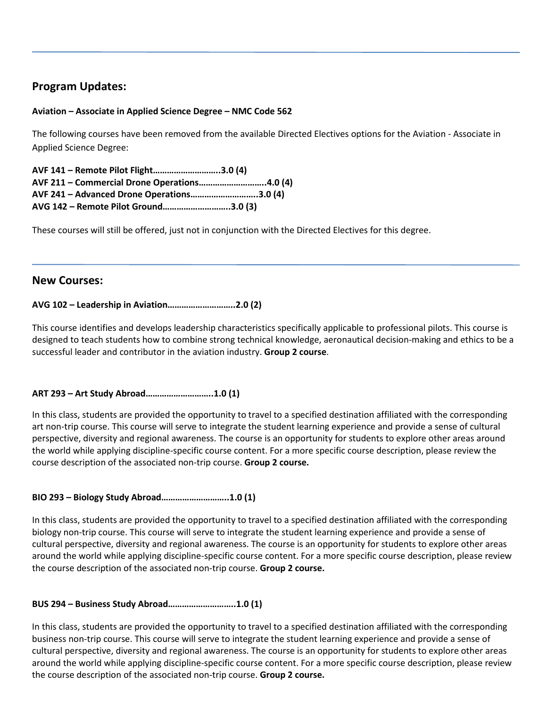# **Program Updates:**

#### **Aviation – Associate in Applied Science Degree – NMC Code 562**

The following courses have been removed from the available Directed Electives options for the Aviation - Associate in Applied Science Degree:

**AVF 141 – Remote Pilot Flight………………………..3.0 (4) AVF 211 – Commercial Drone Operations………………………..4.0 (4) AVF 241 – Advanced Drone Operations………………………..3.0 (4) AVG 142 – Remote Pilot Ground………………………..3.0 (3)**

These courses will still be offered, just not in conjunction with the Directed Electives for this degree.

# **New Courses:**

#### **AVG 102 – Leadership in Aviation………………………..2.0 (2)**

This course identifies and develops leadership characteristics specifically applicable to professional pilots. This course is designed to teach students how to combine strong technical knowledge, aeronautical decision-making and ethics to be a successful leader and contributor in the aviation industry. **Group 2 course**.

#### **ART 293 – Art Study Abroad………………………..1.0 (1)**

In this class, students are provided the opportunity to travel to a specified destination affiliated with the corresponding art non-trip course. This course will serve to integrate the student learning experience and provide a sense of cultural perspective, diversity and regional awareness. The course is an opportunity for students to explore other areas around the world while applying discipline-specific course content. For a more specific course description, please review the course description of the associated non-trip course. **Group 2 course.**

#### **BIO 293 – Biology Study Abroad………………………..1.0 (1)**

In this class, students are provided the opportunity to travel to a specified destination affiliated with the corresponding biology non-trip course. This course will serve to integrate the student learning experience and provide a sense of cultural perspective, diversity and regional awareness. The course is an opportunity for students to explore other areas around the world while applying discipline-specific course content. For a more specific course description, please review the course description of the associated non-trip course. **Group 2 course.**

#### **BUS 294 – Business Study Abroad………………………..1.0 (1)**

In this class, students are provided the opportunity to travel to a specified destination affiliated with the corresponding business non-trip course. This course will serve to integrate the student learning experience and provide a sense of cultural perspective, diversity and regional awareness. The course is an opportunity for students to explore other areas around the world while applying discipline-specific course content. For a more specific course description, please review the course description of the associated non-trip course. **Group 2 course.**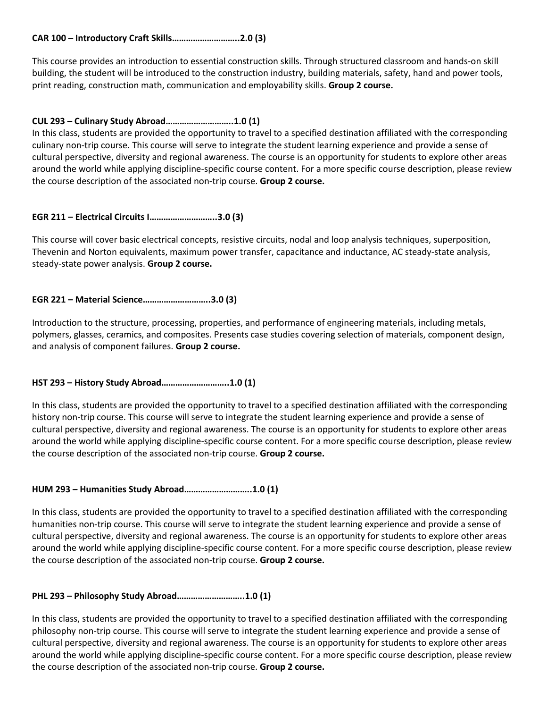#### **CAR 100 – Introductory Craft Skills………………………..2.0 (3)**

This course provides an introduction to essential construction skills. Through structured classroom and hands-on skill building, the student will be introduced to the construction industry, building materials, safety, hand and power tools, print reading, construction math, communication and employability skills. **Group 2 course.**

#### **CUL 293 – Culinary Study Abroad………………………..1.0 (1)**

In this class, students are provided the opportunity to travel to a specified destination affiliated with the corresponding culinary non-trip course. This course will serve to integrate the student learning experience and provide a sense of cultural perspective, diversity and regional awareness. The course is an opportunity for students to explore other areas around the world while applying discipline-specific course content. For a more specific course description, please review the course description of the associated non-trip course. **Group 2 course.**

#### **EGR 211 – Electrical Circuits I………………………..3.0 (3)**

This course will cover basic electrical concepts, resistive circuits, nodal and loop analysis techniques, superposition, Thevenin and Norton equivalents, maximum power transfer, capacitance and inductance, AC steady-state analysis, steady-state power analysis. **Group 2 course.**

#### **EGR 221 – Material Science………………………..3.0 (3)**

Introduction to the structure, processing, properties, and performance of engineering materials, including metals, polymers, glasses, ceramics, and composites. Presents case studies covering selection of materials, component design, and analysis of component failures. **Group 2 course.**

#### **HST 293 – History Study Abroad………………………..1.0 (1)**

In this class, students are provided the opportunity to travel to a specified destination affiliated with the corresponding history non-trip course. This course will serve to integrate the student learning experience and provide a sense of cultural perspective, diversity and regional awareness. The course is an opportunity for students to explore other areas around the world while applying discipline-specific course content. For a more specific course description, please review the course description of the associated non-trip course. **Group 2 course.**

#### **HUM 293 – Humanities Study Abroad………………………..1.0 (1)**

In this class, students are provided the opportunity to travel to a specified destination affiliated with the corresponding humanities non-trip course. This course will serve to integrate the student learning experience and provide a sense of cultural perspective, diversity and regional awareness. The course is an opportunity for students to explore other areas around the world while applying discipline-specific course content. For a more specific course description, please review the course description of the associated non-trip course. **Group 2 course.**

#### **PHL 293 – Philosophy Study Abroad………………………..1.0 (1)**

In this class, students are provided the opportunity to travel to a specified destination affiliated with the corresponding philosophy non-trip course. This course will serve to integrate the student learning experience and provide a sense of cultural perspective, diversity and regional awareness. The course is an opportunity for students to explore other areas around the world while applying discipline-specific course content. For a more specific course description, please review the course description of the associated non-trip course. **Group 2 course.**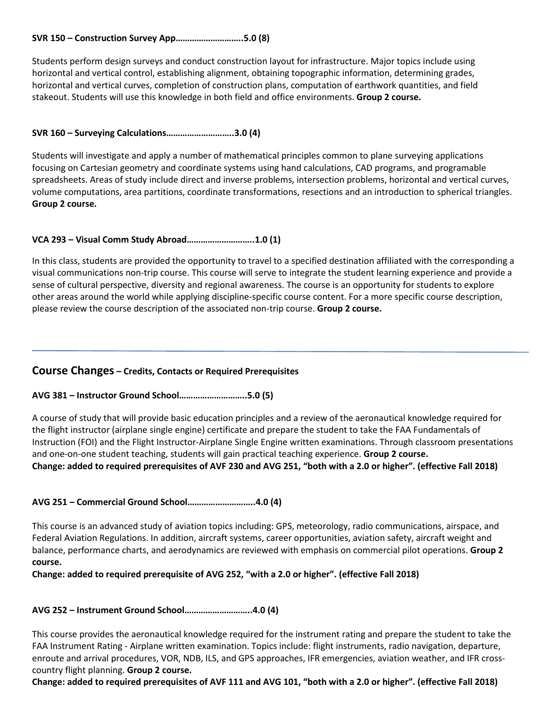#### **SVR 150 – Construction Survey App………………………..5.0 (8)**

Students perform design surveys and conduct construction layout for infrastructure. Major topics include using horizontal and vertical control, establishing alignment, obtaining topographic information, determining grades, horizontal and vertical curves, completion of construction plans, computation of earthwork quantities, and field stakeout. Students will use this knowledge in both field and office environments. **Group 2 course.**

#### **SVR 160 – Surveying Calculations………………………..3.0 (4)**

Students will investigate and apply a number of mathematical principles common to plane surveying applications focusing on Cartesian geometry and coordinate systems using hand calculations, CAD programs, and programable spreadsheets. Areas of study include direct and inverse problems, intersection problems, horizontal and vertical curves, volume computations, area partitions, coordinate transformations, resections and an introduction to spherical triangles. **Group 2 course.**

#### **VCA 293 – Visual Comm Study Abroad………………………..1.0 (1)**

In this class, students are provided the opportunity to travel to a specified destination affiliated with the corresponding a visual communications non-trip course. This course will serve to integrate the student learning experience and provide a sense of cultural perspective, diversity and regional awareness. The course is an opportunity for students to explore other areas around the world while applying discipline-specific course content. For a more specific course description, please review the course description of the associated non-trip course. **Group 2 course.**

#### **Course Changes – Credits, Contacts or Required Prerequisites**

#### **AVG 381 – Instructor Ground School………………………..5.0 (5)**

A course of study that will provide basic education principles and a review of the aeronautical knowledge required for the flight instructor (airplane single engine) certificate and prepare the student to take the FAA Fundamentals of Instruction (FOI) and the Flight Instructor-Airplane Single Engine written examinations. Through classroom presentations and one-on-one student teaching, students will gain practical teaching experience. **Group 2 course. Change: added to required prerequisites of AVF 230 and AVG 251, "both with a 2.0 or higher". (effective Fall 2018)**

#### **AVG 251 – Commercial Ground School………………………..4.0 (4)**

This course is an advanced study of aviation topics including: GPS, meteorology, radio communications, airspace, and Federal Aviation Regulations. In addition, aircraft systems, career opportunities, aviation safety, aircraft weight and balance, performance charts, and aerodynamics are reviewed with emphasis on commercial pilot operations. **Group 2 course.** 

**Change: added to required prerequisite of AVG 252, "with a 2.0 or higher". (effective Fall 2018)**

#### **AVG 252 – Instrument Ground School………………………..4.0 (4)**

This course provides the aeronautical knowledge required for the instrument rating and prepare the student to take the FAA Instrument Rating - Airplane written examination. Topics include: flight instruments, radio navigation, departure, enroute and arrival procedures, VOR, NDB, ILS, and GPS approaches, IFR emergencies, aviation weather, and IFR crosscountry flight planning. **Group 2 course.** 

**Change: added to required prerequisites of AVF 111 and AVG 101, "both with a 2.0 or higher". (effective Fall 2018)**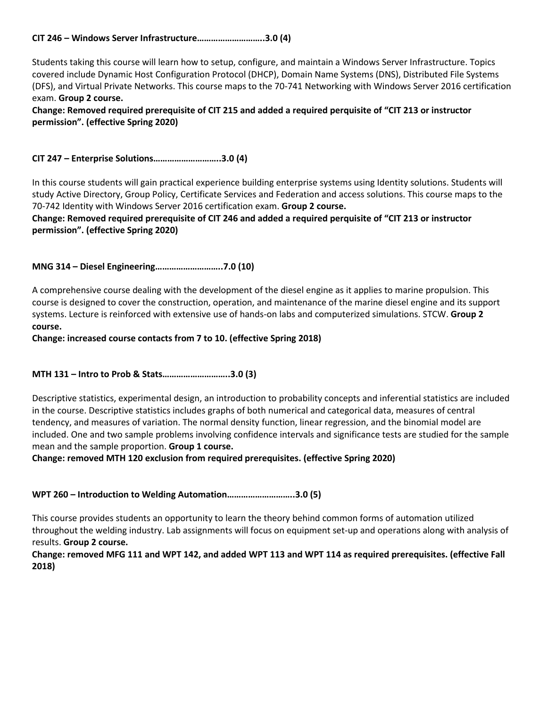#### **CIT 246 – Windows Server Infrastructure………………………..3.0 (4)**

Students taking this course will learn how to setup, configure, and maintain a Windows Server Infrastructure. Topics covered include Dynamic Host Configuration Protocol (DHCP), Domain Name Systems (DNS), Distributed File Systems (DFS), and Virtual Private Networks. This course maps to the 70-741 Networking with Windows Server 2016 certification exam. **Group 2 course.** 

**Change: Removed required prerequisite of CIT 215 and added a required perquisite of "CIT 213 or instructor permission". (effective Spring 2020)**

**CIT 247 – Enterprise Solutions………………………..3.0 (4)**

In this course students will gain practical experience building enterprise systems using Identity solutions. Students will study Active Directory, Group Policy, Certificate Services and Federation and access solutions. This course maps to the 70-742 Identity with Windows Server 2016 certification exam. **Group 2 course.** 

#### **Change: Removed required prerequisite of CIT 246 and added a required perquisite of "CIT 213 or instructor permission". (effective Spring 2020)**

**MNG 314 – Diesel Engineering………………………..7.0 (10)**

A comprehensive course dealing with the development of the diesel engine as it applies to marine propulsion. This course is designed to cover the construction, operation, and maintenance of the marine diesel engine and its support systems. Lecture is reinforced with extensive use of hands-on labs and computerized simulations. STCW. **Group 2 course.** 

**Change: increased course contacts from 7 to 10. (effective Spring 2018)**

**MTH 131 – Intro to Prob & Stats………………………..3.0 (3)**

Descriptive statistics, experimental design, an introduction to probability concepts and inferential statistics are included in the course. Descriptive statistics includes graphs of both numerical and categorical data, measures of central tendency, and measures of variation. The normal density function, linear regression, and the binomial model are included. One and two sample problems involving confidence intervals and significance tests are studied for the sample mean and the sample proportion. **Group 1 course.**

**Change: removed MTH 120 exclusion from required prerequisites. (effective Spring 2020)**

**WPT 260 – Introduction to Welding Automation………………………..3.0 (5)**

This course provides students an opportunity to learn the theory behind common forms of automation utilized throughout the welding industry. Lab assignments will focus on equipment set-up and operations along with analysis of results. **Group 2 course.** 

**Change: removed MFG 111 and WPT 142, and added WPT 113 and WPT 114 as required prerequisites. (effective Fall 2018)**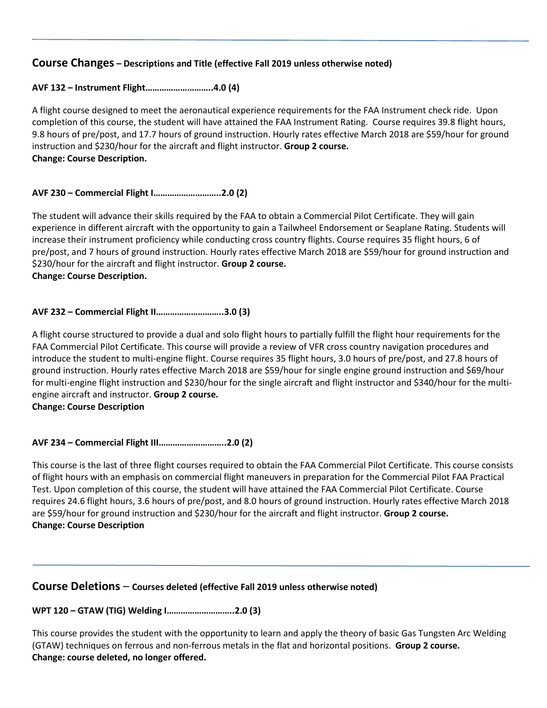### **Course Changes – Descriptions and Title (effective Fall 2019 unless otherwise noted)**

#### **AVF 132 – Instrument Flight………………………..4.0 (4)**

A flight course designed to meet the aeronautical experience requirements for the FAA Instrument check ride. Upon completion of this course, the student will have attained the FAA Instrument Rating. Course requires 39.8 flight hours, 9.8 hours of pre/post, and 17.7 hours of ground instruction. Hourly rates effective March 2018 are \$59/hour for ground instruction and \$230/hour for the aircraft and flight instructor. **Group 2 course. Change: Course Description.** 

#### **AVF 230 – Commercial Flight I………………………..2.0 (2)**

The student will advance their skills required by the FAA to obtain a Commercial Pilot Certificate. They will gain experience in different aircraft with the opportunity to gain a Tailwheel Endorsement or Seaplane Rating. Students will increase their instrument proficiency while conducting cross country flights. Course requires 35 flight hours, 6 of pre/post, and 7 hours of ground instruction. Hourly rates effective March 2018 are \$59/hour for ground instruction and \$230/hour for the aircraft and flight instructor. **Group 2 course.**

**Change: Course Description.** 

#### **AVF 232 – Commercial Flight II………………………..3.0 (3)**

A flight course structured to provide a dual and solo flight hours to partially fulfill the flight hour requirements for the FAA Commercial Pilot Certificate. This course will provide a review of VFR cross country navigation procedures and introduce the student to multi-engine flight. Course requires 35 flight hours, 3.0 hours of pre/post, and 27.8 hours of ground instruction. Hourly rates effective March 2018 are \$59/hour for single engine ground instruction and \$69/hour for multi-engine flight instruction and \$230/hour for the single aircraft and flight instructor and \$340/hour for the multiengine aircraft and instructor. **Group 2 course.**

**Change: Course Description**

**AVF 234 – Commercial Flight III………………………..2.0 (2)**

This course is the last of three flight courses required to obtain the FAA Commercial Pilot Certificate. This course consists of flight hours with an emphasis on commercial flight maneuvers in preparation for the Commercial Pilot FAA Practical Test. Upon completion of this course, the student will have attained the FAA Commercial Pilot Certificate. Course requires 24.6 flight hours, 3.6 hours of pre/post, and 8.0 hours of ground instruction. Hourly rates effective March 2018 are \$59/hour for ground instruction and \$230/hour for the aircraft and flight instructor. **Group 2 course. Change: Course Description**

#### **Course Deletions** – **Courses deleted (effective Fall 2019 unless otherwise noted)**

#### **WPT 120 – GTAW (TIG) Welding I………………………..2.0 (3)**

This course provides the student with the opportunity to learn and apply the theory of basic Gas Tungsten Arc Welding (GTAW) techniques on ferrous and non-ferrous metals in the flat and horizontal positions. **Group 2 course. Change: course deleted, no longer offered.**